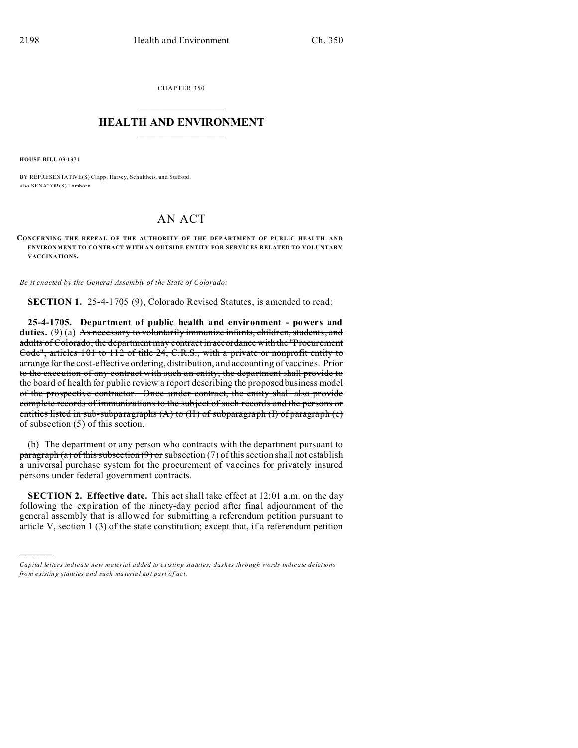CHAPTER 350  $\overline{\phantom{a}}$  , where  $\overline{\phantom{a}}$ 

## **HEALTH AND ENVIRONMENT**  $\_$   $\_$   $\_$   $\_$   $\_$   $\_$   $\_$   $\_$

**HOUSE BILL 03-1371**

)))))

BY REPRESENTATIVE(S) Clapp, Harvey, Schultheis, and Stafford; also SENATOR(S) Lamborn.

## AN ACT

**CONCERNING THE REPEAL OF THE AUTHORITY OF THE DEPARTMENT OF PUBLIC HEALTH AND ENVIRON MEN T TO CONTRACT W ITH AN OUTSIDE ENTITY FOR SERVICES RELATED TO VOLUNTARY VACCINATIONS.**

*Be it enacted by the General Assembly of the State of Colorado:*

**SECTION 1.** 25-4-1705 (9), Colorado Revised Statutes, is amended to read:

**25-4-1705. Department of public health and environment - powers and duties.** (9) (a) As necessary to voluntarily immunize infants, children, students, and adults of Colorado, the department may contract in accordance with the "Procurement Code", articles 101 to 112 of title 24, C.R.S., with a private or nonprofit entity to arrange for the cost-effective ordering, distribution, and accounting of vaccines. Prior to the execution of any contract with such an entity, the department shall provide to the board of health for public review a report describing the proposed business model of the prospective contractor. Once under contract, the entity shall also provide complete records of immunizations to the subject of such records and the persons or entities listed in sub-subparagraphs  $(A)$  to  $(H)$  of subparagraph  $(I)$  of paragraph  $(e)$ of subsection (5) of this section.

(b) The department or any person who contracts with the department pursuant to  $\frac{\text{pargraph (a) of this subsection (9) or subsection (7) of this section shall not establish}}{}$ a universal purchase system for the procurement of vaccines for privately insured persons under federal government contracts.

**SECTION 2. Effective date.** This act shall take effect at 12:01 a.m. on the day following the expiration of the ninety-day period after final adjournment of the general assembly that is allowed for submitting a referendum petition pursuant to article V, section  $1(3)$  of the state constitution; except that, if a referendum petition

*Capital letters indicate new material added to existing statutes; dashes through words indicate deletions from e xistin g statu tes a nd such ma teria l no t pa rt of ac t.*